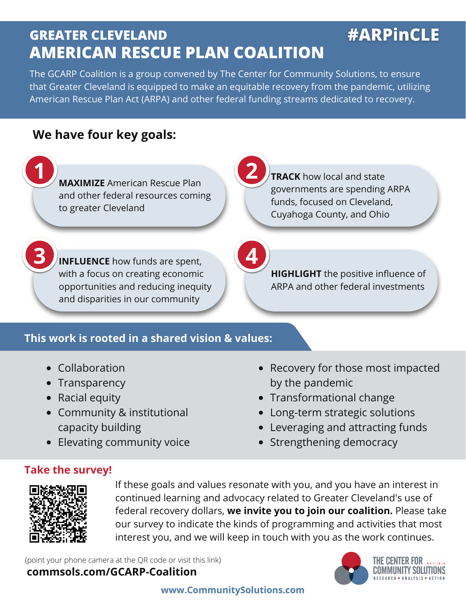# **GREATER CLEVELAND AMERICAN RESCUE PLAN COALITION**

The GCARP Coalition is a group convened by The Center for Community Solutions, to ensure that Greater Cleveland is equipped to make an equitable recovery from the pandemic, utilizing American Rescue Plan Act (ARPA) and other federal funding streams dedicated to recovery.

# **We have four key goals:**

**1 2**<br>**MAXIMIZE** American Rescue Plan and other federal resources coming to greater Cleveland

**TRACK** how local and state governments are spending ARPA funds, focused on Cleveland, Cuyahoga County, and Ohio

**#ARPInCLE** 

**3 INFLUENCE** how funds are spent, with a focus on creating economic opportunities and reducing inequity and disparities in our community

**HIGHLIGHT** the positive influence of ARPA and other federal investments

## **This work is rooted in a shared vision & values:**

- Collaboration
- Transparency
- Racial equity
- Community & institutional capacity building
- Elevating community voice
- Recovery for those most impacted by the pandemic
- Transformational change
- Long-term strategic solutions
- Leveraging and attracting funds
- Strengthening democracy

### **Take the survey!**



If these goals and values resonate with you, and you have an interest in continued learning and advocacy related to Greater Cleveland's use of federal recovery dollars, **we invite you to join our coalition.** Please take our survey to indicate the kinds of programming and activities that most interest you, and we will keep in touch with you as the work continues.

(point your phone camera at the QR code or visit this link)

### **commsols.com/GCARP-Coalition**



IHE GENTER FUR-**COMMUNITY SOLUTIONS** 

### **www.CommunitySolutions.com**